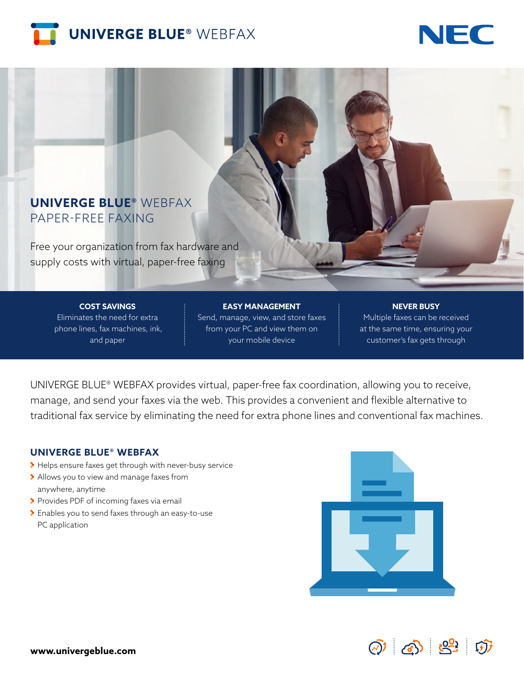



## **UNIVERGE BLUE®** WEBFAX PAPER-FREE FAXING

Free your organization from fax hardware and supply costs with virtual, paper-free faxing

> **COST SAVINGS** Eliminates the need for extra phone lines, fax machines, ink, and paper

**EASY MANAGEMENT** Send, manage, view, and store faxes from your PC and view them on your mobile device

#### **NEVER BUSY**

Multiple faxes can be received at the same time, ensuring your customer's fax gets through

UNIVERGE BLUE® WEBFAX provides virtual, paper-free fax coordination, allowing you to receive, manage, and send your faxes via the web. This provides a convenient and flexible alternative to traditional fax service by eliminating the need for extra phone lines and conventional fax machines.

#### **UNIVERGE BLUE® WEBFAX**

- Helps ensure faxes get through with never-busy service
- Allows you to view and manage faxes from anywhere, anytime
- > Provides PDF of incoming faxes via email
- Enables you to send faxes through an easy-to-use PC application